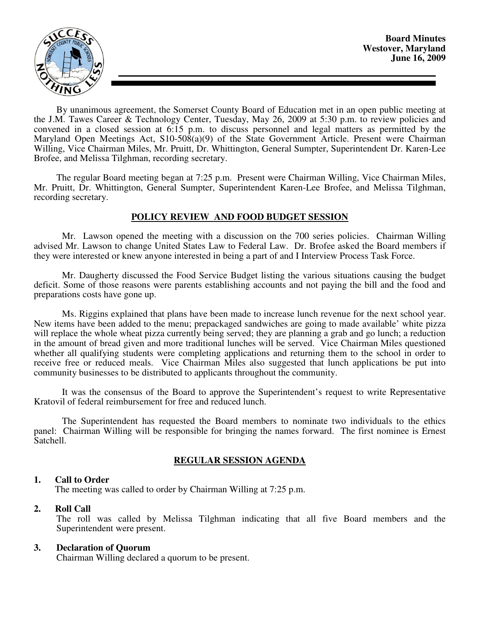

By unanimous agreement, the Somerset County Board of Education met in an open public meeting at the J.M. Tawes Career & Technology Center, Tuesday, May 26, 2009 at 5:30 p.m. to review policies and convened in a closed session at 6:15 p.m. to discuss personnel and legal matters as permitted by the Maryland Open Meetings Act, S10-508(a)(9) of the State Government Article. Present were Chairman Willing, Vice Chairman Miles, Mr. Pruitt, Dr. Whittington, General Sumpter, Superintendent Dr. Karen-Lee Brofee, and Melissa Tilghman, recording secretary.

The regular Board meeting began at 7:25 p.m. Present were Chairman Willing, Vice Chairman Miles, Mr. Pruitt, Dr. Whittington, General Sumpter, Superintendent Karen-Lee Brofee, and Melissa Tilghman, recording secretary.

# **POLICY REVIEW AND FOOD BUDGET SESSION**

 Mr. Lawson opened the meeting with a discussion on the 700 series policies. Chairman Willing advised Mr. Lawson to change United States Law to Federal Law. Dr. Brofee asked the Board members if they were interested or knew anyone interested in being a part of and I Interview Process Task Force.

 Mr. Daugherty discussed the Food Service Budget listing the various situations causing the budget deficit. Some of those reasons were parents establishing accounts and not paying the bill and the food and preparations costs have gone up.

 Ms. Riggins explained that plans have been made to increase lunch revenue for the next school year. New items have been added to the menu; prepackaged sandwiches are going to made available' white pizza will replace the whole wheat pizza currently being served; they are planning a grab and go lunch; a reduction in the amount of bread given and more traditional lunches will be served. Vice Chairman Miles questioned whether all qualifying students were completing applications and returning them to the school in order to receive free or reduced meals. Vice Chairman Miles also suggested that lunch applications be put into community businesses to be distributed to applicants throughout the community.

 It was the consensus of the Board to approve the Superintendent's request to write Representative Kratovil of federal reimbursement for free and reduced lunch.

 The Superintendent has requested the Board members to nominate two individuals to the ethics panel: Chairman Willing will be responsible for bringing the names forward. The first nominee is Ernest Satchell.

# **REGULAR SESSION AGENDA**

# **1. Call to Order**

The meeting was called to order by Chairman Willing at 7:25 p.m.

# **2. Roll Call**

The roll was called by Melissa Tilghman indicating that all five Board members and the Superintendent were present.

# **3. Declaration of Quorum**

Chairman Willing declared a quorum to be present.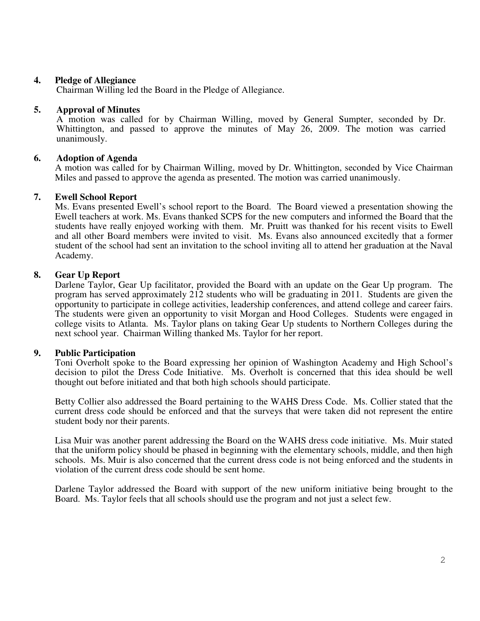## **4. Pledge of Allegiance**

Chairman Willing led the Board in the Pledge of Allegiance.

#### **5. Approval of Minutes**

 A motion was called for by Chairman Willing, moved by General Sumpter, seconded by Dr. Whittington, and passed to approve the minutes of May 26, 2009. The motion was carried unanimously.

## **6. Adoption of Agenda**

 A motion was called for by Chairman Willing, moved by Dr. Whittington, seconded by Vice Chairman Miles and passed to approve the agenda as presented. The motion was carried unanimously.

## **7. Ewell School Report**

Ms. Evans presented Ewell's school report to the Board. The Board viewed a presentation showing the Ewell teachers at work. Ms. Evans thanked SCPS for the new computers and informed the Board that the students have really enjoyed working with them. Mr. Pruitt was thanked for his recent visits to Ewell and all other Board members were invited to visit. Ms. Evans also announced excitedly that a former student of the school had sent an invitation to the school inviting all to attend her graduation at the Naval Academy.

## **8. Gear Up Report**

Darlene Taylor, Gear Up facilitator, provided the Board with an update on the Gear Up program. The program has served approximately 212 students who will be graduating in 2011. Students are given the opportunity to participate in college activities, leadership conferences, and attend college and career fairs. The students were given an opportunity to visit Morgan and Hood Colleges. Students were engaged in college visits to Atlanta. Ms. Taylor plans on taking Gear Up students to Northern Colleges during the next school year. Chairman Willing thanked Ms. Taylor for her report.

#### **9. Public Participation**

Toni Overholt spoke to the Board expressing her opinion of Washington Academy and High School's decision to pilot the Dress Code Initiative. Ms. Overholt is concerned that this idea should be well thought out before initiated and that both high schools should participate.

Betty Collier also addressed the Board pertaining to the WAHS Dress Code. Ms. Collier stated that the current dress code should be enforced and that the surveys that were taken did not represent the entire student body nor their parents.

Lisa Muir was another parent addressing the Board on the WAHS dress code initiative. Ms. Muir stated that the uniform policy should be phased in beginning with the elementary schools, middle, and then high schools. Ms. Muir is also concerned that the current dress code is not being enforced and the students in violation of the current dress code should be sent home.

Darlene Taylor addressed the Board with support of the new uniform initiative being brought to the Board. Ms. Taylor feels that all schools should use the program and not just a select few.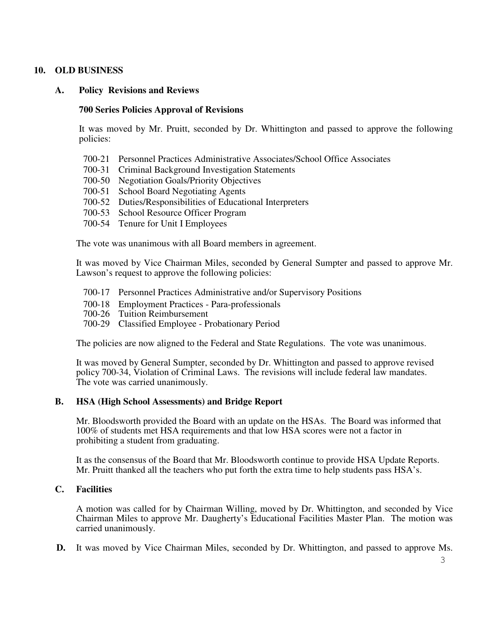# **10. OLD BUSINESS**

# **A. Policy Revisions and Reviews**

# **700 Series Policies Approval of Revisions**

 It was moved by Mr. Pruitt, seconded by Dr. Whittington and passed to approve the following policies:

- 700-21 Personnel Practices Administrative Associates/School Office Associates
- 700-31 Criminal Background Investigation Statements
- 700-50 Negotiation Goals/Priority Objectives
- 700-51 School Board Negotiating Agents
- 700-52 Duties/Responsibilities of Educational Interpreters
- 700-53 School Resource Officer Program
- 700-54 Tenure for Unit I Employees

The vote was unanimous with all Board members in agreement.

 It was moved by Vice Chairman Miles, seconded by General Sumpter and passed to approve Mr. Lawson's request to approve the following policies:

- 700-17 Personnel Practices Administrative and/or Supervisory Positions
- 700-18 Employment Practices Para-professionals
- 700-26 Tuition Reimbursement
- 700-29 Classified Employee Probationary Period

The policies are now aligned to the Federal and State Regulations. The vote was unanimous.

It was moved by General Sumpter, seconded by Dr. Whittington and passed to approve revised policy 700-34, Violation of Criminal Laws. The revisions will include federal law mandates. The vote was carried unanimously.

# **B. HSA (High School Assessments) and Bridge Report**

Mr. Bloodsworth provided the Board with an update on the HSAs. The Board was informed that 100% of students met HSA requirements and that low HSA scores were not a factor in prohibiting a student from graduating.

It as the consensus of the Board that Mr. Bloodsworth continue to provide HSA Update Reports. Mr. Pruitt thanked all the teachers who put forth the extra time to help students pass HSA's.

# **C. Facilities**

A motion was called for by Chairman Willing, moved by Dr. Whittington, and seconded by Vice Chairman Miles to approve Mr. Daugherty's Educational Facilities Master Plan. The motion was carried unanimously.

**D.** It was moved by Vice Chairman Miles, seconded by Dr. Whittington, and passed to approve Ms.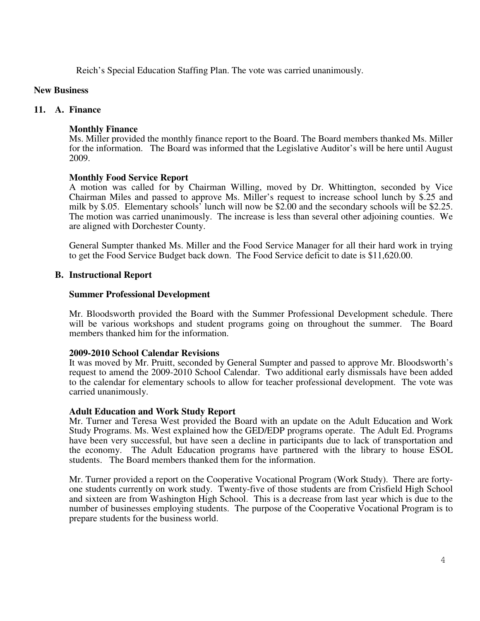Reich's Special Education Staffing Plan. The vote was carried unanimously.

## **New Business**

## **11. A. Finance**

## **Monthly Finance**

Ms. Miller provided the monthly finance report to the Board. The Board members thanked Ms. Miller for the information. The Board was informed that the Legislative Auditor's will be here until August 2009.

## **Monthly Food Service Report**

A motion was called for by Chairman Willing, moved by Dr. Whittington, seconded by Vice Chairman Miles and passed to approve Ms. Miller's request to increase school lunch by \$.25 and milk by \$.05. Elementary schools' lunch will now be \$2.00 and the secondary schools will be \$2.25. The motion was carried unanimously. The increase is less than several other adjoining counties. We are aligned with Dorchester County.

General Sumpter thanked Ms. Miller and the Food Service Manager for all their hard work in trying to get the Food Service Budget back down. The Food Service deficit to date is \$11,620.00.

## **B. Instructional Report**

#### **Summer Professional Development**

Mr. Bloodsworth provided the Board with the Summer Professional Development schedule. There will be various workshops and student programs going on throughout the summer. The Board members thanked him for the information.

#### **2009-2010 School Calendar Revisions**

It was moved by Mr. Pruitt, seconded by General Sumpter and passed to approve Mr. Bloodsworth's request to amend the 2009-2010 School Calendar. Two additional early dismissals have been added to the calendar for elementary schools to allow for teacher professional development. The vote was carried unanimously.

#### **Adult Education and Work Study Report**

Mr. Turner and Teresa West provided the Board with an update on the Adult Education and Work Study Programs. Ms. West explained how the GED/EDP programs operate. The Adult Ed. Programs have been very successful, but have seen a decline in participants due to lack of transportation and the economy. The Adult Education programs have partnered with the library to house ESOL students. The Board members thanked them for the information.

Mr. Turner provided a report on the Cooperative Vocational Program (Work Study). There are fortyone students currently on work study. Twenty-five of those students are from Crisfield High School and sixteen are from Washington High School. This is a decrease from last year which is due to the number of businesses employing students. The purpose of the Cooperative Vocational Program is to prepare students for the business world.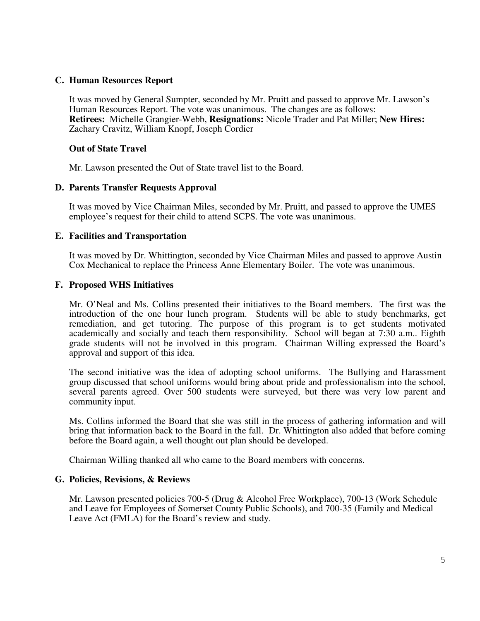## **C. Human Resources Report**

It was moved by General Sumpter, seconded by Mr. Pruitt and passed to approve Mr. Lawson's Human Resources Report. The vote was unanimous. The changes are as follows: **Retirees:** Michelle Grangier-Webb, **Resignations:** Nicole Trader and Pat Miller; **New Hires:** Zachary Cravitz, William Knopf, Joseph Cordier

## **Out of State Travel**

Mr. Lawson presented the Out of State travel list to the Board.

## **D. Parents Transfer Requests Approval**

It was moved by Vice Chairman Miles, seconded by Mr. Pruitt, and passed to approve the UMES employee's request for their child to attend SCPS. The vote was unanimous.

## **E. Facilities and Transportation**

It was moved by Dr. Whittington, seconded by Vice Chairman Miles and passed to approve Austin Cox Mechanical to replace the Princess Anne Elementary Boiler. The vote was unanimous.

## **F. Proposed WHS Initiatives**

Mr. O'Neal and Ms. Collins presented their initiatives to the Board members. The first was the introduction of the one hour lunch program. Students will be able to study benchmarks, get remediation, and get tutoring. The purpose of this program is to get students motivated academically and socially and teach them responsibility. School will began at 7:30 a.m.. Eighth grade students will not be involved in this program. Chairman Willing expressed the Board's approval and support of this idea.

The second initiative was the idea of adopting school uniforms. The Bullying and Harassment group discussed that school uniforms would bring about pride and professionalism into the school, several parents agreed. Over 500 students were surveyed, but there was very low parent and community input.

Ms. Collins informed the Board that she was still in the process of gathering information and will bring that information back to the Board in the fall. Dr. Whittington also added that before coming before the Board again, a well thought out plan should be developed.

Chairman Willing thanked all who came to the Board members with concerns.

#### **G. Policies, Revisions, & Reviews**

Mr. Lawson presented policies 700-5 (Drug & Alcohol Free Workplace), 700-13 (Work Schedule and Leave for Employees of Somerset County Public Schools), and 700-35 (Family and Medical Leave Act (FMLA) for the Board's review and study.